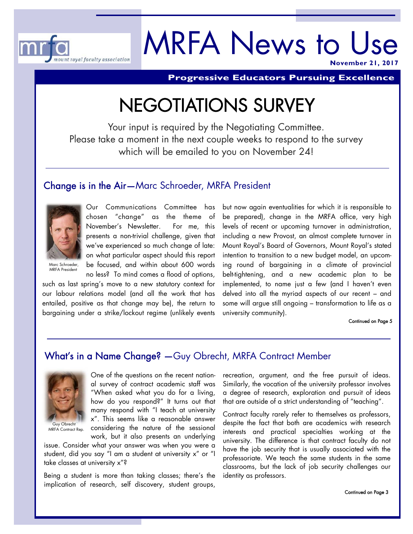

# MRFA News to Use **November 21, 201**

**Progressive Educators Pursuing Excellence** 

# NEGOTIATIONS SURVEY

Your input is required by the Negotiating Committee. Please take a moment in the next couple weeks to respond to the survey which will be emailed to you on November 24!

#### Change is in the Air—Marc Schroeder, MRFA President



Our Communications Committee has chosen "change" as the theme of November's Newsletter. For me, this presents a non-trivial challenge, given that we've experienced so much change of late: on what particular aspect should this report be focused, and within about 600 words

no less? To mind comes a flood of options,

Marc Schroeder, MRFA President

such as last spring's move to a new statutory context for our labour relations model (and all the work that has entailed, positive as that change may be), the return to bargaining under a strike/lockout regime (unlikely events

but now again eventualities for which it is responsible to be prepared), change in the MRFA office, very high levels of recent or upcoming turnover in administration, including a new Provost, an almost complete turnover in Mount Royal's Board of Governors, Mount Royal's stated intention to transition to a new budget model, an upcoming round of bargaining in a climate of provincial belt-tightening, and a new academic plan to be implemented, to name just a few (and I haven't even delved into all the myriad aspects of our recent – and some will argue still ongoing – transformation to life as a university community).

#### Continued on Page 5

## What's in a Name Change? —Guy Obrecht, MRFA Contract Member



Guy Obrecht MRFA Contract Rep.

One of the questions on the recent national survey of contract academic staff was "When asked what you do for a living, how do you respond?" It turns out that many respond with "I teach at university x". This seems like a reasonable answer considering the nature of the sessional work, but it also presents an underlying

issue. Consider what your answer was when you were a student, did you say "I am a student at university x" or "I take classes at university x"?

Being a student is more than taking classes; there's the implication of research, self discovery, student groups,

recreation, argument, and the free pursuit of ideas. Similarly, the vocation of the university professor involves a degree of research, exploration and pursuit of ideas that are outside of a strict understanding of "teaching".

Contract faculty rarely refer to themselves as professors, despite the fact that both are academics with research interests and practical specialties working at the university. The difference is that contract faculty do not have the job security that is usually associated with the professoriate. We teach the same students in the same classrooms, but the lack of job security challenges our identity as professors.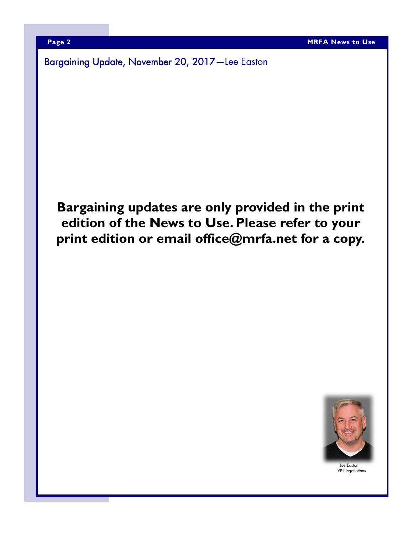Bargaining Update, November 20, 2017—Lee Easton

# **Bargaining updates are only provided in the print edition of the News to Use. Please refer to your print edition or email office@mrfa.net for a copy.**



Lee Easton VP Negotiations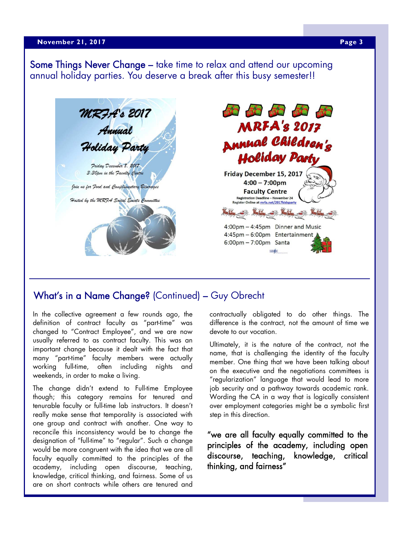#### **A April 23, 2017 Page 3 Page 3 Page 3**

Some Things Never Change – take time to relax and attend our upcoming annual holiday parties. You deserve a break after this busy semester!!



### What's in a Name Change? (Continued) – Guy Obrecht

In the collective agreement a few rounds ago, the definition of contract faculty as "part-time" was changed to "Contract Employee", and we are now usually referred to as contract faculty. This was an important change because it dealt with the fact that many "part-time" faculty members were actually working full-time, often including nights and weekends, in order to make a living.

The change didn't extend to Full-time Employee though; this category remains for tenured and tenurable faculty or full-time lab instructors. It doesn't really make sense that temporality is associated with one group and contract with another. One way to reconcile this inconsistency would be to change the designation of "full-time" to "regular". Such a change would be more congruent with the idea that we are all faculty equally committed to the principles of the academy, including open discourse, teaching, knowledge, critical thinking, and fairness. Some of us are on short contracts while others are tenured and

contractually obligated to do other things. The difference is the contract, not the amount of time we devote to our vocation.

Ultimately, it is the nature of the contract, not the name, that is challenging the identity of the faculty member. One thing that we have been talking about on the executive and the negotiations committees is "regularization" language that would lead to more job security and a pathway towards academic rank. Wording the CA in a way that is logically consistent over employment categories might be a symbolic first step in this direction.

"we are all faculty equally committed to the principles of the academy, including open discourse, teaching, knowledge, critical thinking, and fairness"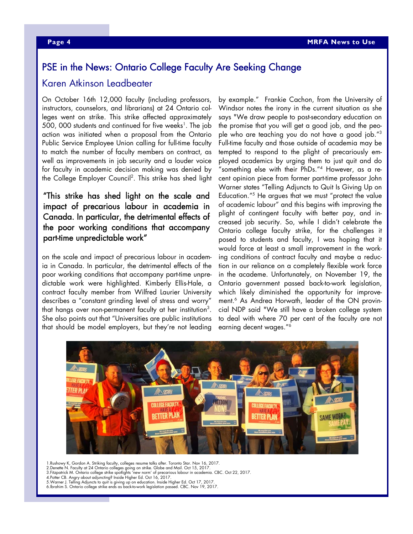### PSE in the News: Ontario College Faculty Are Seeking Change

#### Karen Atkinson Leadbeater

On October 16th 12,000 faculty (including professors, instructors, counselors, and librarians) at 24 Ontario colleges went on strike. This strike affected approximately 500, 000 students and continued for five weeks<sup>1</sup>. The job action was initiated when a proposal from the Ontario Public Service Employee Union calling for full-time faculty to match the number of faculty members on contract, as well as improvements in job security and a louder voice for faculty in academic decision making was denied by the College Employer Council2 . This strike has shed light

#### "This strike has shed light on the scale and impact of precarious labour in academia in Canada. In particular, the detrimental effects of the poor working conditions that accompany part-time unpredictable work"

on the scale and impact of precarious labour in academia in Canada. In particular, the detrimental effects of the poor working conditions that accompany part-time unpredictable work were highlighted. Kimberly Ellis-Hale, a contract faculty member from Wilfred Laurier University describes a "constant grinding level of stress and worry" that hangs over non-permanent faculty at her institution $^3.$ She also points out that "Universities are public institutions that should be model employers, but they're not leading

by example." Frankie Cachon, from the University of Windsor notes the irony in the current situation as she says "We draw people to post-secondary education on the promise that you will get a good job, and the people who are teaching you do not have a good job."3 Full-time faculty and those outside of academia may be tempted to respond to the plight of precariously employed academics by urging them to just quit and do "something else with their PhDs."4 However, as a recent opinion piece from former part-time professor John Warner states "Telling Adjuncts to Quit Is Giving Up on Education."5 He argues that we must "protect the value of academic labour" and this begins with improving the plight of contingent faculty with better pay, and increased job security. So, while I didn't celebrate the Ontario college faculty strike, for the challenges it posed to students and faculty, I was hoping that it would force at least a small improvement in the working conditions of contract faculty and maybe a reduction in our reliance on a completely flexible work force in the academe. Unfortunately, on November 19, the Ontario government passed back-to-work legislation, which likely diminished the opportunity for improvement.6 As Andrea Horwath, leader of the ON provincial NDP said "We still have a broken college system to deal with where 70 per cent of the faculty are not earning decent wages."6



1.Rushowy K, Gordon A. Striking faculty, colleges resume talks after. Toronto Star. Nov 16, 2017. 2.Denette N. Faculty at 24 Ontario colleges going on strike. Globe and Mail. Oct 15, 2017.

3.Fitzpatrick M. Ontario college strike spotlights 'new norm' of precarious labour in academia. CBC. Oct 22, 2017. 4.Potter CB. Angry about adjuncting? Inside Higher Ed. Oct 16, 2017.

5.Warner J. Telling Adjuncts to quit is giving up on education. Inside Higher Ed. Oct 17, 2017.

6.Ibrahim S. Ontario college strike ends as back-to-work legislation passed. CBC. Nov 19, 2017.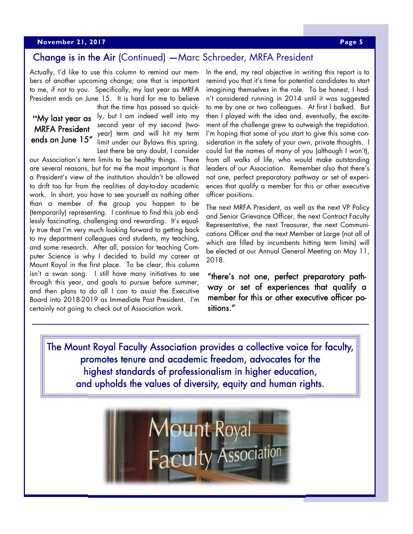#### **A April 23, 2017 Page 5 Page 5**

### Change is in the Air (Continued) —Marc Schroeder, MRFA President

Actually, I'd like to use this column to remind our members of another upcoming change; one that is important to me, if not to you. Specifically, my last year as MRFA President ends on June 15. It is hard for me to believe

### **"**My last year as MRFA President ends on June 15"

that the time has passed so quickly, but I am indeed well into my second year of my second (twoyear) term and will hit my term limit under our Bylaws this spring. Lest there be any doubt, I consider

our Association's term limits to be healthy things. There are several reasons, but for me the most important is that a President's view of the institution shouldn't be allowed to drift too far from the realities of day-to-day academic work. In short, you have to see yourself as nothing other than a member of the group you happen to be (temporarily) representing. I continue to find this job endlessly fascinating, challenging and rewarding. It's equally true that I'm very much looking forward to getting back to my department colleagues and students, my teaching, and some research. After all, passion for teaching Computer Science is why I decided to build my career at Mount Royal in the first place. To be clear, this column isn't a swan song. I still have many initiatives to see through this year, and goals to pursue before summer, and then plans to do all I can to assist the Executive Board into 2018-2019 as Immediate Past President. I'm certainly not going to check out of Association work.

In the end, my real objective in writing this report is to remind you that it's time for potential candidates to start imagining themselves in the role. To be honest, I hadn't considered running in 2014 until it was suggested to me by one or two colleagues. At first I balked. But then I played with the idea and, eventually, the excitement of the challenge grew to outweigh the trepidation. I'm hoping that some of you start to give this some consideration in the safety of your own, private thoughts. I could list the names of many of you (although I won't), from all walks of life, who would make outstanding leaders of our Association. Remember also that there's not one, perfect preparatory pathway or set of experiences that qualify a member for this or other executive officer positions.

The next MRFA President, as well as the next VP Policy and Senior Grievance Officer, the next Contract Faculty Representative, the next Treasurer, the next Communications Officer and the next Member at Large (not all of which are filled by incumbents hitting term limits) will be elected at our Annual General Meeting on May 11, 2018.

"there's not one, perfect preparatory pathway or set of experiences that qualify a member for this or other executive officer positions."

The Mount Royal Faculty Association provides a collective voice for faculty, promotes tenure and academic freedom, advocates for the highest standards of professionalism in higher education, and upholds the values of diversity, equity and human rights.

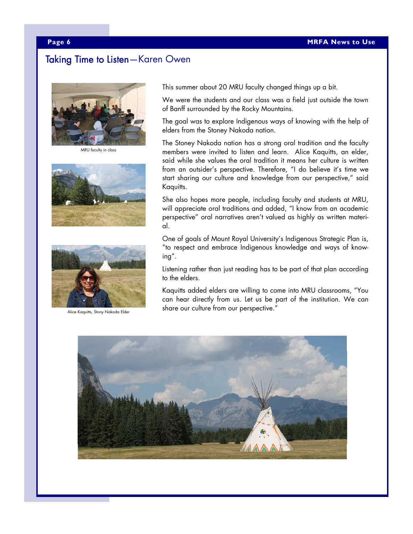#### Taking Time to Listen—Karen Owen



MRU faculty in class





This summer about 20 MRU faculty changed things up a bit.

We were the students and our class was a field just outside the town of Banff surrounded by the Rocky Mountains.

The goal was to explore Indigenous ways of knowing with the help of elders from the Stoney Nakoda nation.

The Stoney Nakoda nation has a strong oral tradition and the faculty members were invited to listen and learn. Alice Kaquitts, an elder, said while she values the oral tradition it means her culture is written from an outsider's perspective. Therefore, "I do believe it's time we start sharing our culture and knowledge from our perspective," said Kaquitts.

She also hopes more people, including faculty and students at MRU, will appreciate oral traditions and added, "I know from an academic perspective" oral narratives aren't valued as highly as written material.

One of goals of Mount Royal University's Indigenous Strategic Plan is, "to respect and embrace Indigenous knowledge and ways of knowing".

Listening rather than just reading has to be part of that plan according to the elders.

Kaquitts added elders are willing to come into MRU classrooms, "You can hear directly from us. Let us be part of the institution. We can share our culture from our perspective."<br>Alice Kaquitts, Stony Nakoda Elder

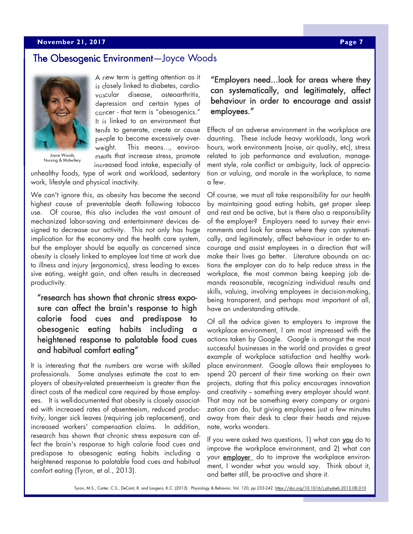#### **A Apple 2017 Page 7 Page 7 Page 7 Page 7 Page 7 Page 7 Page 7 Page 7**

#### The Obesogenic Environment—Joyce Woods



Joyce Woods, Nursing & Midwifery

A new term is getting attention as it is closely linked to diabetes, cardiovascular disease, osteoarthritis, depression and certain types of cancer - that term is "obesogenics." It is linked to an environment that tends to generate, create or cause people to become excessively overweight. This means..., environments that increase stress, promote increased food intake, especially of

unhealthy foods, type of work and workload, sedentary work, lifestyle and physical inactivity.

We can't ignore this, as obesity has become the second highest cause of preventable death following tobacco use. Of course, this also includes the vast amount of mechanized labor-saving and entertainment devices designed to decrease our activity. This not only has huge implication for the economy and the health care system, but the employer should be equally as concerned since obesity is closely linked to employee lost time at work due to illness and injury (ergonomics), stress leading to excessive eating, weight gain, and often results in decreased productivity.

#### "research has shown that chronic stress exposure can affect the brain's response to high calorie food cues and predispose to obesogenic eating habits including heightened response to palatable food cues and habitual comfort eating"

It is interesting that the numbers are worse with skilled professionals. Some analyses estimate the cost to employers of obesity-related presenteeism is greater than the direct costs of the medical care required by those employees. It is well-documented that obesity is closely associated with increased rates of absenteeism, reduced productivity, longer sick leaves (requiring job replacement), and increased workers' compensation claims. In addition, research has shown that chronic stress exposure can affect the brain's response to high calorie food cues and predispose to obesogenic eating habits including a heightened response to palatable food cues and habitual comfort eating (Tyron, et al., 2013).

"Employers need...look for areas where they can systematically, and legitimately, affect behaviour in order to encourage and assist employees."

Effects of an adverse environment in the workplace are daunting. These include heavy workloads, long work hours, work environments (noise, air quality, etc), stress related to job performance and evaluation, management style, role conflict or ambiguity, lack of appreciation or valuing, and morale in the workplace, to name a few.

Of course, we must all take responsibility for our health by maintaining good eating habits, get proper sleep and rest and be active, but is there also a responsibility of the employer? Employers need to survey their environments and look for areas where they can systematically, and legitimately, affect behaviour in order to encourage and assist employees in a direction that will make their lives go better. Literature abounds on actions the employer can do to help reduce stress in the workplace, the most common being keeping job demands reasonable, recognizing individual results and skills, valuing, involving employees in decision-making, being transparent, and perhaps most important of all, have an understanding attitude.

Of all the advice given to employers to improve the workplace environment, I am most impressed with the actions taken by Google. Google is amongst the most successful businesses in the world and provides a great example of workplace satisfaction and healthy workplace environment. Google allows their employees to spend 20 percent of their time working on their own projects, stating that this policy encourages innovation and creativity - something every employer should want. That may not be something every company or organization can do, but giving employees just a few minutes away from their desk to clear their heads and rejuvenate, works wonders.

If you were asked two questions, 1) what can you do to improve the workplace environment, and 2) what can your **employer** do to improve the workplace environment, I wonder what you would say. Think about it, and better still, be pro-active and share it.